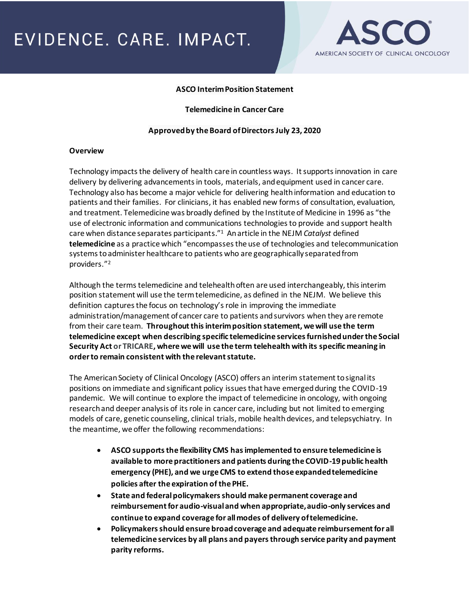

### **ASCO Interim Position Statement**

#### **Telemedicine in Cancer Care**

#### **Approved by the Board of Directors July 23, 2020**

#### **Overview**

Technology impacts the delivery of health care in countless ways. It supports innovation in care delivery by delivering advancements in tools, materials, and equipment used in cancer care. Technology also has become a major vehicle for delivering health information and education to patients and their families. For clinicians, it has enabled new forms of consultation, evaluation, and treatment. Telemedicine was broadly defined by the Institute of Medicine in 1996 as "the use of electronic information and communications technologies to provide and support health care when distance separates participants."<sup>1</sup> An article in the NEJM *Catalyst* defined **telemedicine** as a practice which "encompasses the use of technologies and telecommunication systems to administer healthcare to patients who are geographically separated from providers."<sup>2</sup>

Although the termstelemedicine and telehealth often are used interchangeably, this interim position statement will use the term telemedicine, as defined in the NEJM. We believe this definition captures the focus on technology's role in improving the immediate administration/management of cancer care to patients and survivors when they are remote from their care team. **Throughout this interim position statement, we will use the term telemedicine except when describing specific telemedicine services furnished under the Social Security Act or TRICARE, where we will use the term telehealth with its specific meaning in order to remain consistent with the relevant statute.**

The American Society of Clinical Oncology (ASCO) offers an interim statement to signal its positions on immediate and significant policy issues that have emerged during the COVID-19 pandemic. We will continue to explore the impact of telemedicine in oncology, with ongoing research and deeper analysis of its role in cancer care, including but not limited to emerging models of care, genetic counseling, clinical trials, mobile health devices, and telepsychiatry. In the meantime, we offer the following recommendations:

- **ASCO supports the flexibility CMS has implemented to ensure telemedicine is available to more practitioners and patients during the COVID-19 public health emergency (PHE), and we urge CMS to extend those expanded telemedicine policies after the expiration of the PHE.**
- **State and federal policymakers should make permanent coverage and reimbursement for audio-visual and when appropriate, audio-only services and continue to expand coverage for all modes of delivery of telemedicine.**
- **Policymakers should ensure broad coverage and adequate reimbursement for all telemedicine services by all plans and payers through service parity and payment parity reforms.**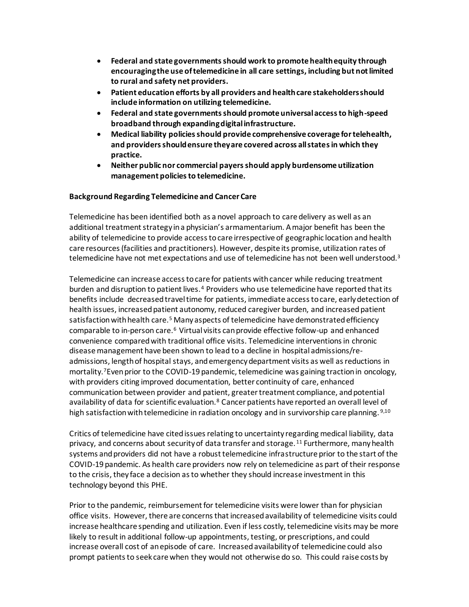- **Federal and state governments should work to promote health equity through encouraging the use of telemedicine in all care settings, including but not limited to rural and safety net providers.**
- **Patient education efforts by all providers and health care stakeholders should include information on utilizing telemedicine.**
- **Federal and state governments should promote universal access to high-speed broadband through expanding digital infrastructure.**
- **Medical liability policies should provide comprehensive coverage for telehealth, and providers should ensure they are covered across all states in which they practice.**
- **Neither public nor commercial payers should apply burdensome utilization management policies to telemedicine.**

### **Background Regarding Telemedicine and Cancer Care**

Telemedicine has been identified both as a novel approach to care delivery as well as an additional treatment strategy in a physician's armamentarium. A major benefit has been the ability of telemedicine to provide access to care irrespective of geographic location and health care resources (facilities and practitioners). However, despite its promise, utilization rates of telemedicine have not met expectations and use of telemedicine has not been well understood.<sup>3</sup>

Telemedicine can increase access to care for patients with cancer while reducing treatment burden and disruption to patient lives.<sup>4</sup> Providers who use telemedicine have reported that its benefits include decreased travel time for patients, immediate access to care, early detection of health issues, increased patient autonomy, reduced caregiver burden, and increased patient satisfaction with health care.<sup>5</sup> Many aspects of telemedicine have demonstrated efficiency comparable to in-person care.<sup>6</sup> Virtual visits can provide effective follow-up and enhanced convenience compared with traditional office visits. Telemedicine interventions in chronic disease management have been shown to lead to a decline in hospital admissions/readmissions, length of hospital stays, and emergency department visits as well as reductions in mortality.<sup>7</sup>Even prior to the COVID-19 pandemic, telemedicine was gaining traction in oncology, with providers citing improved documentation, better continuity of care, enhanced communication between provider and patient, greater treatment compliance, and potential availability of data for scientific evaluation.<sup>8</sup> Cancer patients have reported an overall level of high satisfaction with telemedicine in radiation oncology and in survivorship care planning. 9,10

Critics of telemedicine have cited issues relating to uncertainty regarding medical liability, data privacy, and concerns about security of data transfer and storage. <sup>11</sup> Furthermore, many health systems and providers did not have a robust telemedicine infrastructure prior to the start of the COVID-19 pandemic. As health care providers now rely on telemedicine as part of their response to the crisis, they face a decision as to whether they should increase investment in this technology beyond this PHE.

Prior to the pandemic, reimbursement for telemedicine visits were lower than for physician office visits. However, there are concerns that increased availability of telemedicine visits could increase healthcare spending and utilization. Even if less costly, telemedicine visits may be more likely to result in additional follow-up appointments, testing, or prescriptions, and could increase overall cost of an episode of care. Increased availability of telemedicine could also prompt patients to seek care when they would not otherwise do so. This could raise costs by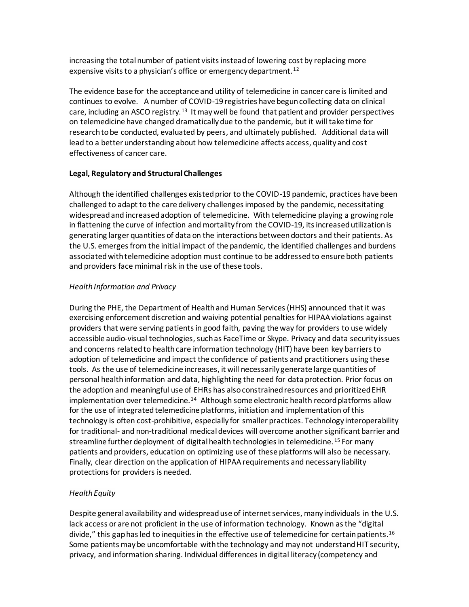increasing the total number of patient visits instead of lowering cost by replacing more expensive visits to a physician's office or emergency department. <sup>12</sup>

The evidence base for the acceptance and utility of telemedicine in cancer care is limited and continues to evolve. A number of COVID-19 registries have begun collecting data on clinical care, including an ASCO registry.<sup>13</sup> It may well be found that patient and provider perspectives on telemedicine have changed dramatically due to the pandemic, but it will take time for research to be conducted, evaluated by peers, and ultimately published. Additional data will lead to a better understanding about how telemedicine affects access, quality and cost effectiveness of cancer care.

# **Legal, Regulatory and Structural Challenges**

Although the identified challenges existed prior to the COVID-19 pandemic, practices have been challenged to adapt to the care delivery challenges imposed by the pandemic, necessitating widespreadand increased adoption of telemedicine. With telemedicine playing a growing role in flattening the curve of infection and mortality from the COVID-19, its increased utilization is generating larger quantities of data on the interactions between doctors and their patients. As the U.S. emerges from the initial impact of the pandemic, the identified challenges and burdens associated with telemedicine adoption must continue to be addressed to ensure both patients and providers face minimal risk in the use of these tools.

# *Health Information and Privacy*

During the PHE, the Department of Health and Human Services (HHS) announced that it was exercising enforcement discretion and waiving potential penalties for HIPAA violations against providers that were serving patients in good faith, paving the way for providers to use widely accessible audio-visual technologies, such as FaceTime or Skype. Privacy and data security issues and concerns related to health care information technology (HIT) have been key barriers to adoption of telemedicine and impact the confidence of patients and practitioners using these tools. As the use of telemedicine increases, it will necessarily generate large quantities of personal health information and data, highlighting the need for data protection. Prior focus on the adoption and meaningful use of EHRs has also constrained resources and prioritized EHR implementation over telemedicine.<sup>14</sup> Although some electronic health record platforms allow for the use of integrated telemedicine platforms, initiation and implementation of this technology is often cost-prohibitive, especially for smaller practices. Technology interoperability for traditional- and non-traditional medical devices will overcome another significant barrier and streamline further deployment of digital health technologies in telemedicine. <sup>15</sup> For many patients and providers, education on optimizing use of these platforms will also be necessary. Finally, clear direction on the application of HIPAA requirements and necessary liability protections for providers is needed.

# *Health Equity*

Despite general availability and widespread use of internet services, many individuals in the U.S. lack access or are not proficient in the use of information technology. Known as the "digital divide," this gap has led to inequities in the effective use of telemedicine for certain patients.<sup>16</sup> Some patients may be uncomfortable with the technology and may not understand HIT security, privacy, and information sharing. Individual differences in digital literacy (competency and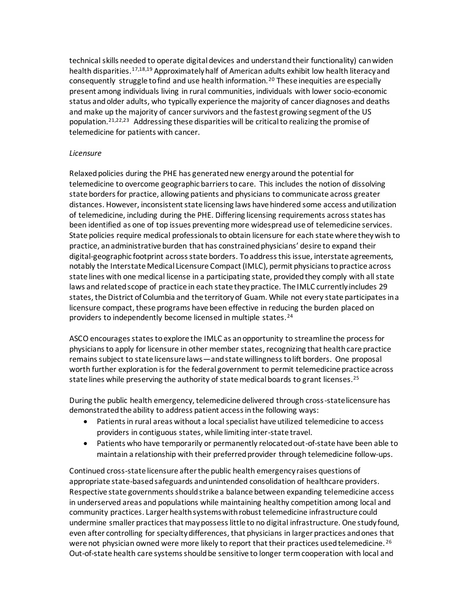technical skills needed to operate digital devices and understand their functionality) can widen health disparities.17,18,19 Approximately half of American adults exhibit low health literacy and consequently struggle to find and use health information.<sup>20</sup> These inequities are especially present among individuals living in rural communities, individuals with lower socio-economic status and older adults, who typically experience the majority of cancer diagnoses and deaths and make up the majority of cancer survivors and the fastest growing segment of the US population.<sup>21,22,23</sup> Addressing these disparities will be critical to realizing the promise of telemedicine for patients with cancer.

### *Licensure*

Relaxed policies during the PHE has generated new energy around the potential for telemedicine to overcome geographic barriers to care. This includes the notion of dissolving state borders for practice, allowing patients and physicians to communicate across greater distances. However, inconsistent state licensing laws have hindered some access and utilization of telemedicine, including during the PHE. Differing licensing requirements across stateshas been identified as one of top issues preventing more widespread use of telemedicine services. State policies require medical professionals to obtain licensure for each state where they wish to practice, an administrative burden that has constrained physicians' desire to expand their digital-geographic footprint across state borders. To address this issue, interstate agreements, notably the Interstate Medical Licensure Compact (IMLC), permit physicians to practice across state lines with one medical license in a participating state, provided they comply with all state laws and related scope of practice in each state they practice. The IMLC currently includes 29 states, the District of Columbia and the territory of Guam. While not every state participates in a licensure compact, these programs have been effective in reducing the burden placed on providers to independently become licensed in multiple states.<sup>24</sup>

ASCO encourages states to explore the IMLC as an opportunity to streamline the process for physicians to apply for licensure in other member states, recognizing that health care practice remains subject to state licensure laws—and state willingness to lift borders. One proposal worth further exploration is for the federal government to permit telemedicine practice across state lines while preserving the authority of state medical boards to grant licenses.<sup>25</sup>

During the public health emergency, telemedicine delivered through cross-state licensure has demonstrated the ability to address patient access in the following ways:

- Patients in rural areas without a local specialist have utilized telemedicine to access providers in contiguous states, while limiting inter-state travel.
- Patients who have temporarily or permanently relocated out-of-state have been able to maintain a relationship with their preferred provider through telemedicine follow-ups.

Continued cross-state licensure after the public health emergency raises questions of appropriate state-based safeguards and unintended consolidation of healthcare providers. Respective state governments should strike a balance between expanding telemedicine access in underserved areas and populations while maintaining healthy competition among local and community practices. Larger health systems with robust telemedicine infrastructure could undermine smaller practices that may possess little to no digital infrastructure. One study found, even after controlling for specialty differences, that physicians in larger practices and ones that were not physician owned were more likely to report that their practices used telemedicine.<sup>26</sup> Out-of-state health care systems should be sensitive to longer term cooperation with local and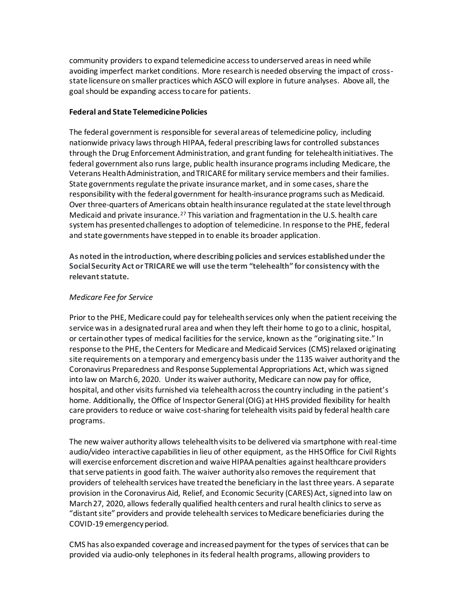community providers to expand telemedicine access to underserved areas in need while avoiding imperfect market conditions. More research is needed observing the impact of crossstate licensure on smaller practices which ASCO will explore in future analyses. Above all, the goal should be expanding access to care for patients.

## **Federal and State Telemedicine Policies**

The federal government is responsible for several areas of telemedicine policy, including nationwide privacy laws through HIPAA, federal prescribing laws for controlled substances through the Drug Enforcement Administration, and grant funding for telehealth initiatives. The federal government also runs large, public health insurance programs including Medicare, the Veterans Health Administration, and TRICARE for military service members and their families. State governments regulate the private insurance market, and in some cases, share the responsibility with the federal government for health-insurance programs such as Medicaid. Over three-quarters of Americans obtain health insurance regulated at the state level through Medicaid and private insurance.<sup>27</sup> This variation and fragmentation in the U.S. health care system has presented challenges to adoption of telemedicine. In response to the PHE, federal and state governments have stepped in to enable its broader application.

**As noted in the introduction, where describing policies and services established under the Social Security Act or TRICARE we will use the term "telehealth" for consistency with the relevant statute.** 

### *Medicare Fee for Service*

Prior to the PHE, Medicare could pay for telehealth services only when the patient receiving the service was in a designated rural area and when they left their home to go to a clinic, hospital, or certain other types of medical facilities for the service, known as the "originating site." In response to the PHE, the Centers for Medicare and Medicaid Services (CMS) relaxed originating site requirements on a temporary and emergency basis under the 1135 waiver authority and the Coronavirus Preparedness and Response Supplemental Appropriations Act, which was signed into law on March 6, 2020. Under its waiver authority, Medicare can now pay for office, hospital, and other visits furnished via telehealth across the country including in the patient's home. Additionally, the Office of Inspector General (OIG) at HHS provided flexibility for health care providers to reduce or waive cost-sharing for telehealth visits paid by federal health care programs.

The new waiver authority allows telehealth visits to be delivered via smartphone with real-time audio/video interactive capabilities in lieu of other equipment, as the HHS Office for Civil Rights will exercise enforcement discretion and waive HIPAA penalties against healthcare providers that serve patients in good faith. The waiver authority also removes the requirement that providers of telehealth services have treated the beneficiary in the last three years. A separate provision in the Coronavirus Aid, Relief, and Economic Security (CARES) Act, signed into law on March 27, 2020, allows federally qualified health centers and rural health clinics to serve as "distant site" providers and provide telehealth services to Medicare beneficiaries during the COVID-19 emergency period.

CMS has also expanded coverage and increased payment for the types of services that can be provided via audio-only telephones in its federal health programs, allowing providers to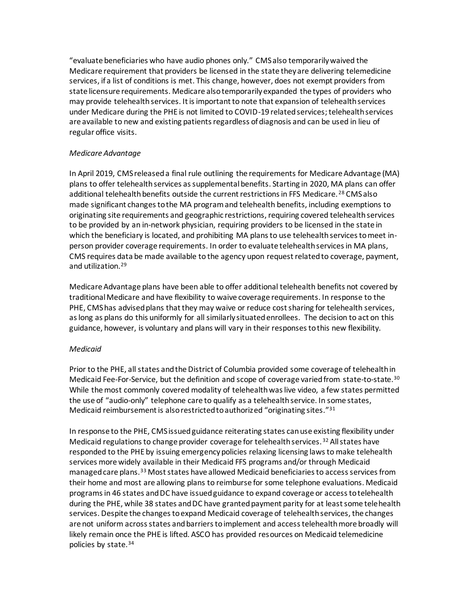"evaluate beneficiaries who have audio phones only." CMS also temporarily waived the Medicare requirement that providers be licensed in the state they are delivering telemedicine services, if a list of conditions is met. This change, however, does not exempt providers from state licensure requirements. Medicare also temporarily expanded the types of providers who may provide telehealth services. It is important to note that expansion of telehealth services under Medicare during the PHE is not limited to COVID-19 related services; telehealth services are available to new and existing patients regardless of diagnosis and can be used in lieu of regular office visits.

# *Medicare Advantage*

In April 2019, CMS released a final rule outlining the requirements for Medicare Advantage (MA) plans to offer telehealth services as supplemental benefits. Starting in 2020, MA plans can offer additional telehealth benefits outside the current restrictions in FFS Medicare. <sup>28</sup> CMS also made significant changes to the MA program and telehealth benefits, including exemptions to originating site requirements and geographic restrictions, requiring covered telehealth services to be provided by an in-network physician, requiring providers to be licensed in the state in which the beneficiary is located, and prohibiting MA plans to use telehealth services to meet inperson provider coverage requirements. In order to evaluate telehealth services in MA plans, CMS requires data be made available to the agency upon request related to coverage, payment, and utilization.<sup>29</sup>

Medicare Advantage plans have been able to offer additional telehealth benefits not covered by traditional Medicare and have flexibility to waive coverage requirements. In response to the PHE, CMS has advised plans that they may waive or reduce cost sharing for telehealth services, as long as plans do this uniformly for all similarly situated enrollees. The decision to act on this guidance, however, is voluntary and plans will vary in their responses to this new flexibility.

### *Medicaid*

Prior to the PHE, all states and the District of Columbia provided some coverage of telehealth in Medicaid Fee-For-Service, but the definition and scope of coverage varied from state-to-state.<sup>30</sup> While the most commonly covered modality of telehealth was live video, a few states permitted the use of "audio-only" telephone care to qualify as a telehealth service. In some states, Medicaid reimbursement is also restricted to authorized "originating sites."<sup>31</sup>

In response to the PHE, CMS issued guidance reiterating states can use existing flexibility under Medicaid regulations to change provider coverage for telehealth services.<sup>32</sup> All states have responded to the PHE by issuing emergency policies relaxing licensing laws to make telehealth services more widely available in their Medicaid FFS programs and/or through Medicaid managed care plans.<sup>33</sup> Most states have allowed Medicaid beneficiaries to access services from their home and most are allowing plans to reimburse for some telephone evaluations. Medicaid programs in 46 states and DC have issued guidance to expand coverage or access to telehealth during the PHE, while 38 states and DC have granted payment parity for at least some telehealth services. Despite the changes to expand Medicaid coverage of telehealth services, the changes are not uniform across states and barriers to implement and access telehealth more broadly will likely remain once the PHE is lifted. ASCO has provided resources on Medicaid telemedicine policies by state.34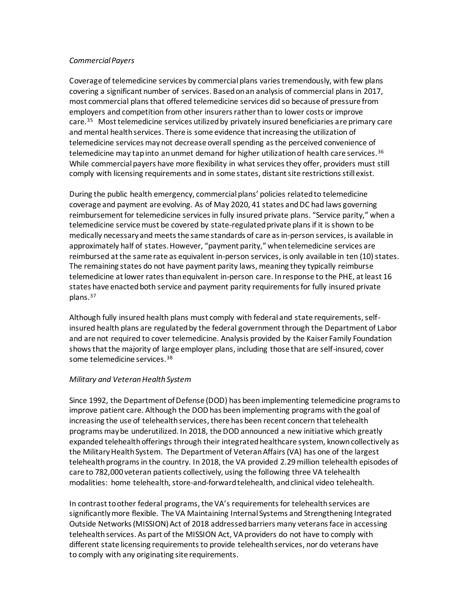#### *Commercial Payers*

Coverage of telemedicine services by commercial plans varies tremendously, with few plans covering a significant number of services. Based on an analysis of commercial plans in 2017, most commercial plans that offered telemedicine services did so because of pressure from employers and competition from other insurers rather than to lower costs or improve care.<sup>35</sup> Most telemedicine services utilized by privately insured beneficiaries are primary care and mental health services. There is some evidence that increasing the utilization of telemedicine services may not decrease overall spending as the perceived convenience of telemedicine may tap into an unmet demand for higher utilization of health care services.<sup>36</sup> While commercial payers have more flexibility in what services they offer, providers must still comply with licensing requirements and in some states, distant site restrictions still exist.

During the public health emergency, commercial plans' policies related to telemedicine coverage and payment are evolving. As of May 2020, 41 states and DC had laws governing reimbursement for telemedicine services in fully insured private plans. "Service parity," when a telemedicine service must be covered by state-regulated private plans if it is shown to be medically necessary and meets the same standards of care as in-person services, is available in approximately half of states. However, "payment parity," when telemedicine services are reimbursed at the same rate as equivalent in-person services, is only available in ten (10) states. The remaining states do not have payment parity laws, meaning they typically reimburse telemedicine at lower rates than equivalent in-person care. In response to the PHE, at least 16 states have enacted both service and payment parity requirements for fully insured private plans.<sup>37</sup>

Although fully insured health plans must comply with federal and state requirements, selfinsured health plans are regulated by the federal government through the Department of Labor and are not required to cover telemedicine. Analysis provided by the Kaiser Family Foundation shows that the majority of large employer plans, including those that are self-insured, cover some telemedicine services.<sup>38</sup>

### *Military and Veteran Health System*

Since 1992, the Department of Defense (DOD) has been implementing telemedicine programs to improve patient care. Although the DOD has been implementing programs with the goal of increasing the use of telehealth services, there has been recent concern that telehealth programs may be underutilized. In 2018, the DOD announced a new initiative which greatly expanded telehealth offerings through their integrated healthcare system, known collectively as the Military Health System. The Department of Veteran Affairs (VA) has one of the largest telehealth programs in the country. In 2018, the VA provided 2.29 million telehealth episodes of care to 782,000 veteran patients collectively, using the following three VA telehealth modalities: home telehealth, store-and-forward telehealth, and clinical video telehealth.

In contrast to other federal programs, the VA's requirements for telehealth services are significantly more flexible. The VA Maintaining Internal Systems and Strengthening Integrated Outside Networks (MISSION) Act of 2018 addressed barriers many veterans face in accessing telehealth services. As part of the MISSION Act, VA providers do not have to comply with different state licensing requirements to provide telehealth services, nor do veterans have to comply with any originating site requirements.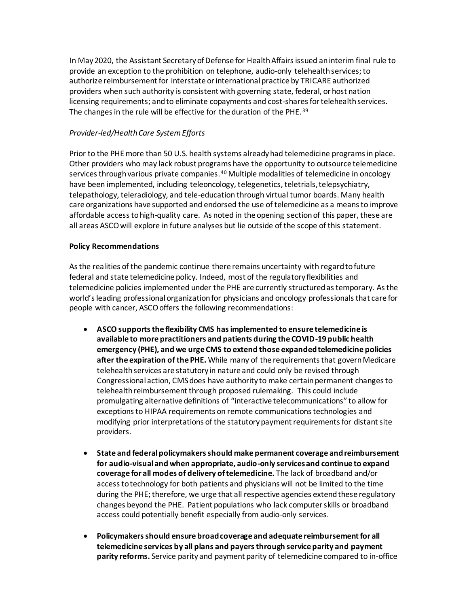In May 2020, the Assistant Secretary of Defense for Health Affairs issued an interim final rule to provide an exception to the prohibition on telephone, audio-only telehealth services; to authorize reimbursement for interstate or international practice by TRICARE authorized providers when such authority is consistent with governing state, federal, or host nation licensing requirements; and to eliminate copayments and cost-shares for telehealth services. The changes in the rule will be effective for the duration of the PHE. <sup>39</sup>

# *Provider-led/Health Care System Efforts*

Prior to the PHE more than 50 U.S. health systems already had telemedicine programs in place. Other providers who may lack robust programs have the opportunity to outsource telemedicine services through various private companies.<sup>40</sup> Multiple modalities of telemedicine in oncology have been implemented, including teleoncology, telegenetics, teletrials, telepsychiatry, telepathology, teleradiology, and tele-education through virtual tumor boards. Many health care organizations have supported and endorsed the use of telemedicine as a means to improve affordable access to high-quality care. As noted in the opening section of this paper, these are all areas ASCO will explore in future analyses but lie outside of the scope of this statement.

### **Policy Recommendations**

As the realities of the pandemic continue there remains uncertainty with regard to future federal and state telemedicine policy. Indeed, most of the regulatory flexibilities and telemedicine policies implemented under the PHE are currently structured as temporary. As the world's leading professional organization for physicians and oncology professionals that care for people with cancer, ASCO offers the following recommendations:

- **ASCO supports the flexibility CMS has implemented to ensure telemedicine is available to more practitioners and patients during the COVID-19 public health emergency (PHE), and we urge CMS to extend those expanded telemedicine policies after the expiration of the PHE.** While many of the requirements that govern Medicare telehealth services are statutory in nature and could only be revised through Congressional action, CMS does have authority to make certain permanent changes to telehealth reimbursement through proposed rulemaking. This could include promulgating alternative definitions of "interactive telecommunications" to allow for exceptions to HIPAA requirements on remote communications technologies and modifying prior interpretations of the statutory payment requirements for distant site providers.
- **State and federal policymakers should make permanent coverage and reimbursement for audio-visual and when appropriate, audio-only services and continue to expand coverage for all modes of delivery of telemedicine.** The lack of broadband and/or access to technology for both patients and physicians will not be limited to the time during the PHE; therefore, we urge that all respective agencies extend these regulatory changes beyond the PHE. Patient populations who lack computer skills or broadband access could potentially benefit especially from audio-only services.
- **Policymakers should ensure broad coverage and adequate reimbursement for all telemedicine services by all plans and payers through service parity and payment parity reforms.** Service parity and payment parity of telemedicine compared to in-office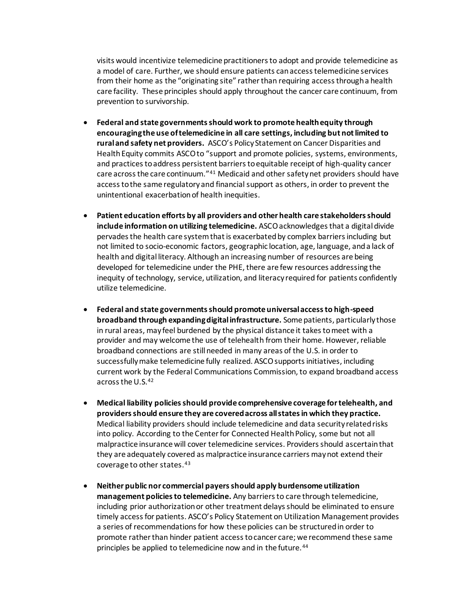visits would incentivize telemedicine practitioners to adopt and provide telemedicine as a model of care. Further, we should ensure patients can access telemedicine services from their home as the "originating site" rather than requiring access through a health care facility. These principles should apply throughout the cancer care continuum, from prevention to survivorship.

- **Federal and state governments should work to promote health equity through encouraging the use of telemedicine in all care settings, including but not limited to rural and safety net providers.** ASCO's Policy Statement on Cancer Disparities and Health Equity commits ASCO to "support and promote policies, systems, environments, and practices to address persistent barriers to equitable receipt of high-quality cancer care across the care continuum."<sup>41</sup> Medicaid and other safety net providers should have access to the same regulatory and financial support as others, in order to prevent the unintentional exacerbation of health inequities.
- **Patient education efforts by all providers and other health care stakeholders should include information on utilizing telemedicine.** ASCO acknowledgesthat a digital divide pervades the health care system that is exacerbated by complex barriers including but not limited to socio-economic factors, geographic location, age, language, and a lack of health and digital literacy. Although an increasing number of resources are being developed for telemedicine under the PHE, there are few resources addressing the inequity of technology, service, utilization, and literacy required for patients confidently utilize telemedicine.
- **Federal and state governments should promote universal access to high-speed broadband through expanding digital infrastructure.** Some patients, particularly those in rural areas, may feel burdened by the physical distance it takes to meet with a provider and may welcome the use of telehealth from their home. However, reliable broadband connections are still needed in many areas of the U.S. in order to successfully make telemedicine fully realized. ASCO supports initiatives, including current work by the Federal Communications Commission, to expand broadband access across the U.S.<sup>42</sup>
- **Medical liability policies should provide comprehensive coverage for telehealth, and providers should ensure they are covered across all states in which they practice.**  Medical liability providers should include telemedicine and data security related risks into policy. According to the Center for Connected Health Policy, some but not all malpractice insurance will cover telemedicine services. Providers should ascertain that they are adequately covered as malpractice insurance carriers may not extend their coverage to other states.<sup>43</sup>
- **Neither public nor commercial payers should apply burdensome utilization management policies to telemedicine.** Any barriers to care through telemedicine, including prior authorization or other treatment delays should be eliminated to ensure timely access for patients. ASCO's Policy Statement on Utilization Management provides a series of recommendations for how these policies can be structured in order to promote rather than hinder patient access to cancer care; we recommend these same principles be applied to telemedicine now and in the future.<sup>44</sup>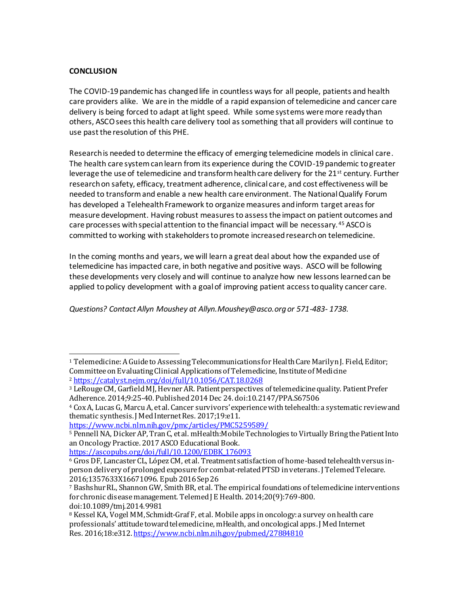# **CONCLUSION**

The COVID-19 pandemic has changed life in countless ways for all people, patients and health care providers alike. We are in the middle of a rapid expansion of telemedicine and cancer care delivery is being forced to adapt at light speed. While some systems were more ready than others, ASCO sees this health care delivery tool as something that all providers will continue to use past the resolution of this PHE.

Research is needed to determine the efficacy of emerging telemedicine models in clinical care. The health care system can learn from its experience during the COVID-19 pandemic to greater leverage the use of telemedicine and transform health care delivery for the 21<sup>st</sup> century. Further research on safety, efficacy, treatment adherence, clinical care, and cost effectiveness will be needed to transform and enable a new health care environment. The National Qualify Forum has developed a Telehealth Framework to organize measures and inform target areas for measure development. Having robust measures to assess the impact on patient outcomes and care processes with special attention to the financial impact will be necessary. <sup>45</sup> ASCO is committed to working with stakeholders to promote increased research on telemedicine.

In the coming months and years, we will learn a great deal about how the expanded use of telemedicine has impacted care, in both negative and positive ways. ASCO will be following these developments very closely and will continue to analyze how new lessons learned can be applied to policy development with a goal of improving patient access to quality cancer care.

*Questions? Contact Allyn Moushey at Allyn.Moushey@asco.org or 571-483- 1738.*

<https://www.ncbi.nlm.nih.gov/pmc/articles/PMC5259589/>

[https://ascopubs.org/doi/full/10.1200/EDBK\\_176093](https://ascopubs.org/doi/full/10.1200/EDBK_176093)

<sup>1</sup> Telemedicine: A Guide to Assessing Telecommunications for Health Care Marilyn J. Field, Editor; Committee on Evaluating Clinical Applications of Telemedicine, Institute of Medicine <sup>2</sup> <https://catalyst.nejm.org/doi/full/10.1056/CAT.18.0268>

<sup>3</sup> LeRouge CM, Garfield MJ, Hevner AR. Patient perspectives of telemedicine quality. Patient Prefer Adherence. 2014;9:25‐40. Published 2014 Dec 24. doi:10.2147/PPA.S67506

<sup>4</sup> Cox A, Lucas G, Marcu A, et al. Cancer survivors' experience with telehealth: a systematic review and thematic synthesis. J Med Internet Res. 2017;19:e11.

<sup>5</sup> Pennell NA, Dicker AP, Tran C, et al. mHealth:Mobile Technologies to Virtually Bring the Patient Into an Oncology Practice. 2017 ASCO Educational Book.

<sup>6</sup> Gros DF, Lancaster CL, López CM, et al. Treatment satisfaction of home-based telehealth versus inperson delivery of prolonged exposure for combat-related PTSD in veterans. J Telemed Telecare. 2016;1357633X16671096. Epub 2016 Sep 26

<sup>7</sup> Bashshur RL, Shannon GW, Smith BR, et al. The empirical foundations of telemedicine interventions for chronic disease management. Telemed J E Health. 2014;20(9):769-800. doi:10.1089/tmj.2014.9981

<sup>&</sup>lt;sup>8</sup> Kessel KA, Vogel MM, Schmidt-Graf F, et al. Mobile apps in oncology: a survey on health care professionals' attitude toward telemedicine, mHealth, and oncological apps. J Med Internet Res. 2016;18:e312. <https://www.ncbi.nlm.nih.gov/pubmed/27884810>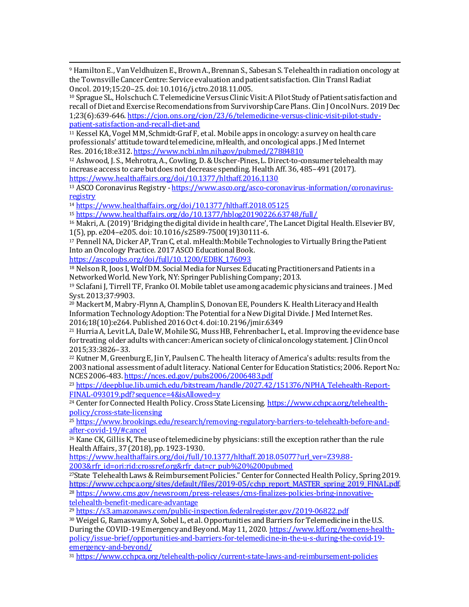<sup>9</sup> Hamilton E., Van Veldhuizen E., Brown A., Brennan S., Sabesan S. Telehealth in radiation oncology at the Townsville Cancer Centre: Service evaluation and patient satisfaction. Clin Transl Radiat Oncol. 2019;15:20–25. doi: 10.1016/j.ctro.2018.11.005.

<sup>10</sup> Sprague SL, Holschuch C. Telemedicine Versus Clinic Visit: A Pilot Study of Patient satisfaction and recall of Diet and Exercise Recomendations from Survivorship Care Plans. Clin J Oncol Nurs. 2019 Dec 1;23(6):639-646[. https://cjon.ons.org/cjon/23/6/telemedicine-versus-clinic-visit-pilot-study](https://cjon.ons.org/cjon/23/6/telemedicine-versus-clinic-visit-pilot-study-patient-satisfaction-and-recall-diet-and)[patient-satisfaction-and-recall-diet-and](https://cjon.ons.org/cjon/23/6/telemedicine-versus-clinic-visit-pilot-study-patient-satisfaction-and-recall-diet-and)

<sup>11</sup> Kessel KA, Vogel MM,Schmidt-Graf F, et al. Mobile apps in oncology: a survey on health care professionals' attitude toward telemedicine, mHealth, and oncological apps. J Med Internet Res. 2016;18:e312. <https://www.ncbi.nlm.nih.gov/pubmed/27884810>

<sup>12</sup> Ashwood, J. S., Mehrotra, A., Cowling, D. & Uscher-Pines, L. Direct-to-consumer telehealth may increase access to care but does not decrease spending. Health Aff. 36, 485–491 (2017). <https://www.healthaffairs.org/doi/10.1377/hlthaff.2016.1130>

<sup>13</sup> ASCO Coronavirus Registry [-https://www.asco.org/asco-coronavirus-information/coronavirus](https://www.asco.org/asco-coronavirus-information/coronavirus-registry)[registry](https://www.asco.org/asco-coronavirus-information/coronavirus-registry)

<sup>14</sup> <https://www.healthaffairs.org/doi/10.1377/hlthaff.2018.05125>

<sup>15</sup> <https://www.healthaffairs.org/do/10.1377/hblog20190226.63748/full/>

<sup>16</sup> Makri, A. (2019) 'Bridging the digital divide in health care', The Lancet Digital Health. Elsevier BV, 1(5), pp. e204–e205. doi: 10.1016/s2589-7500(19)30111-6.

<sup>17</sup> Pennell NA, Dicker AP, Tran C, et al. mHealth:Mobile Technologies to Virtually Bring the Patient Into an Oncology Practice. 2017 ASCO Educational Book.

[https://ascopubs.org/doi/full/10.1200/EDBK\\_176093](https://ascopubs.org/doi/full/10.1200/EDBK_176093)

<sup>18</sup> NelsonR, Joos I, WolfDM. Social Media for Nurses: Educating Practitioners and Patients in a Networked World. New York, NY:Springer Publishing Company;2013.

<sup>19</sup> Sclafani J, Tirrell TF, Franko OI.Mobile tablet use among academic physicians and trainees. J Med Syst. 2013;37:9903.

<sup>20</sup> MackertM, Mabry-Flynn A, Champlin S, Donovan EE, Pounders K. Health Literacy and Health Information Technology Adoption: The Potential for a New Digital Divide. J Med Internet Res. 2016;18(10):e264. Published 2016 Oct 4. doi:10.2196/jmir.6349

<sup>21</sup> Hurria A, Levit LA, Dale W, Mohile SG, Muss HB, Fehrenbacher L, et al. Improving the evidence base for treating older adults with cancer: American society of clinical oncology statement. J Clin Oncol 2015;33:3826–33.

<sup>22</sup> Kutner M, Greenburg E, Jin Y, Paulsen C. The health literacy of America's adults: results from the 2003 national assessment of adult literacy. National Center for Education Statistics; 2006. Report No.: NCES 2006-483. <https://nces.ed.gov/pubs2006/2006483.pdf>

<sup>23</sup> [https://deepblue.lib.umich.edu/bitstream/handle/2027.42/151376/NPHA\\_Telehealth-Report-](https://deepblue.lib.umich.edu/bitstream/handle/2027.42/151376/NPHA_Telehealth-Report-FINAL-093019.pdf?sequence=4&isAllowed=y)[FINAL-093019.pdf?sequence=4&isAllowed=y](https://deepblue.lib.umich.edu/bitstream/handle/2027.42/151376/NPHA_Telehealth-Report-FINAL-093019.pdf?sequence=4&isAllowed=y)

<sup>24</sup> Center for Connected Health Policy. Cross State Licensin[g. https://www.cchpca.org/telehealth](https://www.cchpca.org/telehealth-policy/cross-state-licensing)[policy/cross-state-licensing](https://www.cchpca.org/telehealth-policy/cross-state-licensing)

<sup>25</sup> [https://www.brookings.edu/research/removing-regulatory-barriers-to-telehealth-before-and](https://www.brookings.edu/research/removing-regulatory-barriers-to-telehealth-before-and-after-covid-19/#cancel)[after-covid-19/#cancel](https://www.brookings.edu/research/removing-regulatory-barriers-to-telehealth-before-and-after-covid-19/#cancel)

<sup>26</sup> Kane CK, Gillis K, The use of telemedicine by physicians: still the exception rather than the rule Health Affairs, 37 (2018), pp. 1923-1930.

[https://www.healthaffairs.org/doi/full/10.1377/hlthaff.2018.05077?url\\_ver=Z39.88-](https://www.healthaffairs.org/doi/full/10.1377/hlthaff.2018.05077?url_ver=Z39.88-2003&rfr_id=ori:rid:crossref.org&rfr_dat=cr_pub%20%200pubmed) [2003&rfr\\_id=ori:rid:crossref.org&rfr\\_dat=cr\\_pub%20%200pubmed](https://www.healthaffairs.org/doi/full/10.1377/hlthaff.2018.05077?url_ver=Z39.88-2003&rfr_id=ori:rid:crossref.org&rfr_dat=cr_pub%20%200pubmed)

<sup>27</sup>State Telehealth Laws & Reimbursement Policies." Center for Connected Health Policy, Spring 2019. [https://www.cchpca.org/sites/default/files/2019-05/cchp\\_report\\_MASTER\\_spring\\_2019\\_FINAL.pdf.](https://www.cchpca.org/sites/default/files/2019-05/cchp_report_MASTER_spring_2019_FINAL.pdf) <sup>28</sup> [https://www.cms.gov/newsroom/press-releases/cms-finalizes-policies-bring-innovative](https://www.cms.gov/newsroom/press-releases/cms-finalizes-policies-bring-innovative-telehealth-benefit-medicare-advantage)[telehealth-benefit-medicare-advantage](https://www.cms.gov/newsroom/press-releases/cms-finalizes-policies-bring-innovative-telehealth-benefit-medicare-advantage)

<sup>29</sup> https://<u>s3.amazonaws.com/public-inspection.federalregister.gov/2019-06822.pdf</u>

<sup>30</sup> Weigel G, Ramaswamy A, Sobel L, et al. Opportunities and Barriers for Telemedicine in the U.S. During the COVID-19 Emergency and Beyond. May 11, 202[0. https://www.kff.org/womens-health](https://www.kff.org/womens-health-policy/issue-brief/opportunities-and-barriers-for-telemedicine-in-the-u-s-during-the-covid-19-emergency-and-beyond/)[policy/issue-brief/opportunities-and-barriers-for-telemedicine-in-the-u-s-during-the-covid-19](https://www.kff.org/womens-health-policy/issue-brief/opportunities-and-barriers-for-telemedicine-in-the-u-s-during-the-covid-19-emergency-and-beyond/) [emergency-and-beyond/](https://www.kff.org/womens-health-policy/issue-brief/opportunities-and-barriers-for-telemedicine-in-the-u-s-during-the-covid-19-emergency-and-beyond/)

<sup>31</sup> <https://www.cchpca.org/telehealth-policy/current-state-laws-and-reimbursement-policies>